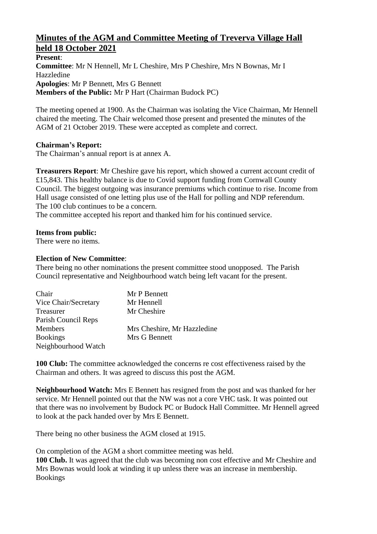# **Minutes of the AGM and Committee Meeting of Treverva Village Hall held 18 October 2021**

**Present**: **Committee**: Mr N Hennell, Mr L Cheshire, Mrs P Cheshire, Mrs N Bownas, Mr I Hazzledine **Apologies**: Mr P Bennett, Mrs G Bennett **Members of the Public:** Mr P Hart (Chairman Budock PC)

The meeting opened at 1900. As the Chairman was isolating the Vice Chairman, Mr Hennell chaired the meeting. The Chair welcomed those present and presented the minutes of the AGM of 21 October 2019. These were accepted as complete and correct.

## **Chairman's Report:**

The Chairman's annual report is at annex A.

**Treasurers Report**: Mr Cheshire gave his report, which showed a current account credit of £15,843. This healthy balance is due to Covid support funding from Cornwall County Council. The biggest outgoing was insurance premiums which continue to rise. Income from Hall usage consisted of one letting plus use of the Hall for polling and NDP referendum. The 100 club continues to be a concern.

The committee accepted his report and thanked him for his continued service.

### **Items from public:**

There were no items.

### **Election of New Committee**:

There being no other nominations the present committee stood unopposed. The Parish Council representative and Neighbourhood watch being left vacant for the present.

| Chair                | Mr P Bennett                |
|----------------------|-----------------------------|
| Vice Chair/Secretary | Mr Hennell                  |
| Treasurer            | Mr Cheshire                 |
| Parish Council Reps  |                             |
| <b>Members</b>       | Mrs Cheshire, Mr Hazzledine |
| <b>Bookings</b>      | Mrs G Bennett               |
| Neighbourhood Watch  |                             |

**100 Club:** The committee acknowledged the concerns re cost effectiveness raised by the Chairman and others. It was agreed to discuss this post the AGM.

**Neighbourhood Watch:** Mrs E Bennett has resigned from the post and was thanked for her service. Mr Hennell pointed out that the NW was not a core VHC task. It was pointed out that there was no involvement by Budock PC or Budock Hall Committee. Mr Hennell agreed to look at the pack handed over by Mrs E Bennett.

There being no other business the AGM closed at 1915.

On completion of the AGM a short committee meeting was held.

**100 Club.** It was agreed that the club was becoming non cost effective and Mr Cheshire and Mrs Bownas would look at winding it up unless there was an increase in membership. Bookings